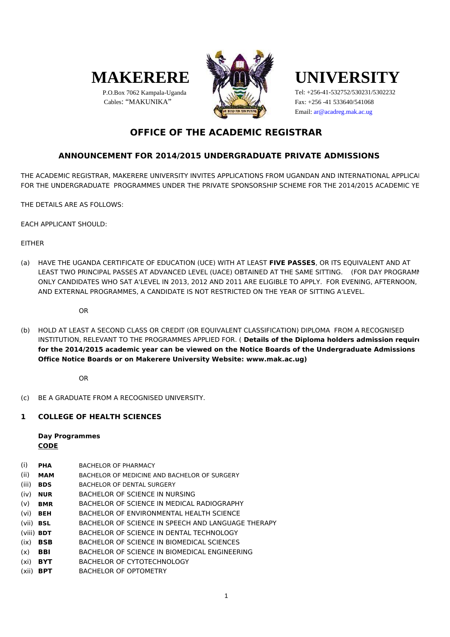

 P.O.Box 7062 Kampala-Uganda Cables: "MAKUNIKA"





Fax: +256 -41 533640/541068 Tel: +256-41-532752/530231/5302232 Email: ar@acadreg.mak.ac.ug

## **OFFICE OF THE ACADEMIC REGISTRAR**

## **ANNOUNCEMENT FOR 2014/2015 UNDERGRADUATE PRIVATE ADMISSIONS**

THE ACADEMIC REGISTRAR, MAKERERE UNIVERSITY INVITES APPLICATIONS FROM UGANDAN AND INTERNATIONAL APPLICAL FOR THE UNDERGRADUATE PROGRAMMES UNDER THE PRIVATE SPONSORSHIP SCHEME FOR THE 2014/2015 ACADEMIC YE

THE DETAILS ARE AS FOLLOWS:

EACH APPLICANT SHOULD:

**FITHFR** 

(a) HAVE THE UGANDA CERTIFICATE OF EDUCATION (UCE) WITH AT LEAST **FIVE PASSES**, OR ITS EQUIVALENT AND AT LEAST TWO PRINCIPAL PASSES AT ADVANCED LEVEL (UACE) OBTAINED AT THE SAME SITTING. (FOR DAY PROGRAMM ONLY CANDIDATES WHO SAT A'LEVEL IN 2013, 2012 AND 2011 ARE ELIGIBLE TO APPLY. FOR EVENING, AFTERNOON, AND EXTERNAL PROGRAMMES, A CANDIDATE IS NOT RESTRICTED ON THE YEAR OF SITTING A'LEVEL.

OR

(b) HOLD AT LEAST A SECOND CLASS OR CREDIT (OR EQUIVALENT CLASSIFICATION) DIPLOMA FROM A RECOGNISED **for the 2014/2015 academic year can be viewed on the Notice Boards of the Undergraduate Admissions Office Notice Boards or on Makerere University Website: www.mak.ac.ug)** INSTITUTION, RELEVANT TO THE PROGRAMMES APPLIED FOR. ( Details of the Diploma holders admission require

OR

(c) BE A GRADUATE FROM A RECOGNISED UNIVERSITY.

### **1 COLLEGE OF HEALTH SCIENCES**

**Day Programmes CODE**

- (i) **PHA** BACHELOR OF PHARMACY
- (ii) **MAM** BACHELOR OF MEDICINE AND BACHELOR OF SURGERY
- (iii) **BDS** BACHELOR OF DENTAL SURGERY
- (iv) **NUR** BACHELOR OF SCIENCE IN NURSING
- (v) **BMR** BACHELOR OF SCIENCE IN MEDICAL RADIOGRAPHY
- (vi) **BEH** BACHELOR OF ENVIRONMENTAL HEALTH SCIENCE
- (vii) **BSL** BACHELOR OF SCIENCE IN SPEECH AND LANGUAGE THERAPY
- (viii) **BDT** BACHELOR OF SCIENCE IN DENTAL TECHNOLOGY
- (ix) **BSB** BACHELOR OF SCIENCE IN BIOMEDICAL SCIENCES
- (x) **BBI** BACHELOR OF SCIENCE IN BIOMEDICAL ENGINEERING
- (xi) **BYT** BACHELOR OF CYTOTECHNOLOGY
- (xii) **BPT** BACHELOR OF OPTOMETRY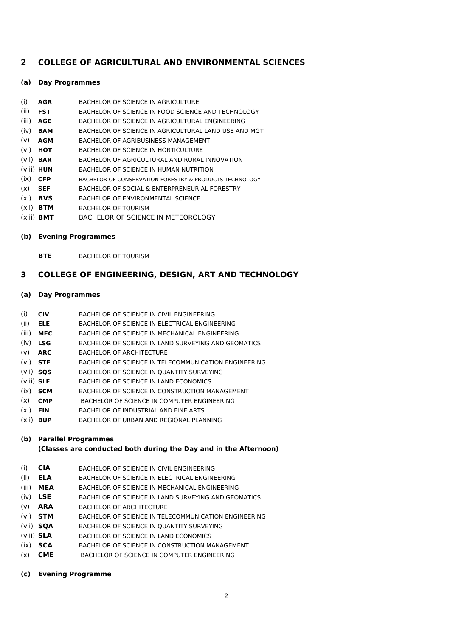## **2 COLLEGE OF AGRICULTURAL AND ENVIRONMENTAL SCIENCES**

### **(a) Day Programmes**

- (i) **AGR** BACHELOR OF SCIENCE IN AGRICULTURE
- (ii) **FST** BACHELOR OF SCIENCE IN FOOD SCIENCE AND TECHNOLOGY
- (iii) **AGE** BACHELOR OF SCIENCE IN AGRICULTURAL ENGINEERING
- (iv) **BAM** BACHELOR OF SCIENCE IN AGRICULTURAL LAND USE AND MGT
- (v) **AGM** BACHELOR OF AGRIBUSINESS MANAGEMENT
- (vi) **HOT** BACHELOR OF SCIENCE IN HORTICULTURE
- (vii) **BAR** BACHELOR OF AGRICULTURAL AND RURAL INNOVATION
- (viii) **HUN** BACHELOR OF SCIENCE IN HUMAN NUTRITION
- (ix) **CFP** BACHELOR OF CONSERVATION FORESTRY & PRODUCTS TECHNOLOGY
- (x) **SEF** BACHELOR OF SOCIAL & ENTERPRENEURIAL FORESTRY
- (xi) **BVS** BACHELOR OF ENVIRONMENTAL SCIENCE
- (xii) **BTM** BACHELOR OF TOURISM
- (xiii) **BMT** BACHELOR OF SCIENCE IN METEOROLOGY
- **(b) Evening Programmes**

**BTE** BACHELOR OF TOURISM

## **3 COLLEGE OF ENGINEERING, DESIGN, ART AND TECHNOLOGY**

### **(a) Day Programmes**

- (i) **CIV** BACHELOR OF SCIENCE IN CIVIL ENGINEERING
- (ii) **ELE** BACHELOR OF SCIENCE IN ELECTRICAL ENGINEERING
- (iii) **MEC** BACHELOR OF SCIENCE IN MECHANICAL ENGINEERING
- (iv) **LSG** BACHELOR OF SCIENCE IN LAND SURVEYING AND GEOMATICS
- (v) **ARC** BACHELOR OF ARCHITECTURE
- (vi) **STE** BACHELOR OF SCIENCE IN TELECOMMUNICATION ENGINEERING
- (vii) **SQS** BACHELOR OF SCIENCE IN QUANTITY SURVEYING
- (viii) **SLE** BACHELOR OF SCIENCE IN LAND ECONOMICS
- (ix) **SCM** BACHELOR OF SCIENCE IN CONSTRUCTION MANAGEMENT
- (x) **CMP** BACHELOR OF SCIENCE IN COMPUTER ENGINEERING
- (xi) **FIN** BACHELOR OF INDUSTRIAL AND FINE ARTS
- (xii) **BUP** BACHELOR OF URBAN AND REGIONAL PLANNING

### **(b) Parallel Programmes**

### **(Classes are conducted both during the Day and in the Afternoon)**

- (i) **CIA** BACHELOR OF SCIENCE IN CIVIL ENGINEERING
- (ii) **ELA** BACHELOR OF SCIENCE IN ELECTRICAL ENGINEERING
- (iii) **MEA** BACHELOR OF SCIENCE IN MECHANICAL ENGINEERING
- (iv) **LSE** BACHELOR OF SCIENCE IN LAND SURVEYING AND GEOMATICS
- (v) **ARA** BACHELOR OF ARCHITECTURE
- (vi) **STM** BACHELOR OF SCIENCE IN TELECOMMUNICATION ENGINEERING
- (vii) **SQA** BACHELOR OF SCIENCE IN QUANTITY SURVEYING
- (viii) **SLA** BACHELOR OF SCIENCE IN LAND ECONOMICS
- (ix) **SCA** BACHELOR OF SCIENCE IN CONSTRUCTION MANAGEMENT
- (x) **CME** BACHELOR OF SCIENCE IN COMPUTER ENGINEERING

### **(c) Evening Programme**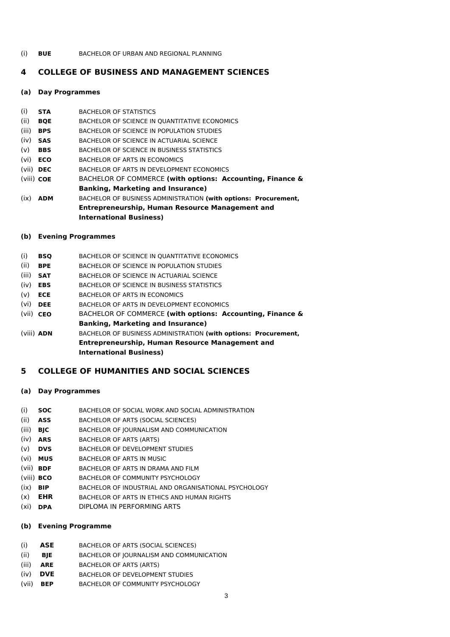(i) **BUE** BACHELOR OF URBAN AND REGIONAL PLANNING

### **4 COLLEGE OF BUSINESS AND MANAGEMENT SCIENCES**

#### **(a) Day Programmes**

- (i) **STA** BACHELOR OF STATISTICS
- (ii) **BQE** BACHELOR OF SCIENCE IN QUANTITATIVE ECONOMICS
- (iii) **BPS** BACHELOR OF SCIENCE IN POPULATION STUDIES
- (iv) **SAS** BACHELOR OF SCIENCE IN ACTUARIAL SCIENCE
- (v) **BBS** BACHELOR OF SCIENCE IN BUSINESS STATISTICS
- (vi) **ECO** BACHELOR OF ARTS IN ECONOMICS
- (vii) **DEC** BACHELOR OF ARTS IN DEVELOPMENT ECONOMICS
- (viii) **COE Banking, Marketing and Insurance)** (ix) **ADM** BACHELOR OF COMMERCE **(with options: Accounting, Finance &** BACHELOR OF BUSINESS ADMINISTRATION **(with options: Procurement,**
- **Entrepreneurship, Human Resource Management and International Business)**
- **(b) Evening Programmes**
- (i) **BSQ** BACHELOR OF SCIENCE IN QUANTITATIVE ECONOMICS
- (ii) **BPE** BACHELOR OF SCIENCE IN POPULATION STUDIES
- (iii) **SAT** BACHELOR OF SCIENCE IN ACTUARIAL SCIENCE
- (iv) **EBS** BACHELOR OF SCIENCE IN BUSINESS STATISTICS
- (v) **ECE** BACHELOR OF ARTS IN ECONOMICS
- (vi) **DEE** BACHELOR OF ARTS IN DEVELOPMENT ECONOMICS
- (vii) **CEO Banking, Marketing and Insurance)** BACHELOR OF COMMERCE **(with options: Accounting, Finance &**
- (viii) **ADN Entrepreneurship, Human Resource Management and International Business)** BACHELOR OF BUSINESS ADMINISTRATION **(with options: Procurement,**

### **5 COLLEGE OF HUMANITIES AND SOCIAL SCIENCES**

### **(a) Day Programmes**

- (i) **SOC** BACHELOR OF SOCIAL WORK AND SOCIAL ADMINISTRATION
- (ii) **ASS** BACHELOR OF ARTS (SOCIAL SCIENCES)
- (iii) **BJC** BACHELOR OF JOURNALISM AND COMMUNICATION
- (iv) **ARS** BACHELOR OF ARTS (ARTS)
- (v) **DVS** BACHELOR OF DEVELOPMENT STUDIES
- (vi) **MUS** BACHELOR OF ARTS IN MUSIC
- (vii) **BDF** BACHELOR OF ARTS IN DRAMA AND FILM
- (viii) **BCO** BACHELOR OF COMMUNITY PSYCHOLOGY
- (ix) **BIP** BACHELOR OF INDUSTRIAL AND ORGANISATIONAL PSYCHOLOGY
- (x) **EHR** BACHELOR OF ARTS IN ETHICS AND HUMAN RIGHTS
- (xi) **DPA** DIPLOMA IN PERFORMING ARTS

### **(b) Evening Programme**

- (i) **ASE** BACHELOR OF ARTS (SOCIAL SCIENCES)
- (ii) **BJE** BACHELOR OF JOURNALISM AND COMMUNICATION
- (iii) **ARE** BACHELOR OF ARTS (ARTS)
- (iv) **DVE** BACHELOR OF DEVELOPMENT STUDIES
- (vii) **BEP** BACHELOR OF COMMUNITY PSYCHOLOGY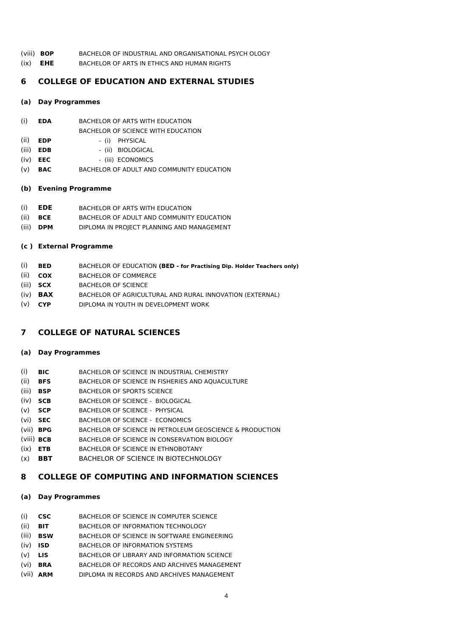- (viii) **BOP** BACHELOR OF INDUSTRIAL AND ORGANISATIONAL PSYCH OLOGY
- (ix) **EHE** BACHELOR OF ARTS IN ETHICS AND HUMAN RIGHTS

## **6 COLLEGE OF EDUCATION AND EXTERNAL STUDIES**

### **(a) Day Programmes**

- (i) **EDA** BACHELOR OF ARTS WITH EDUCATION
- BACHELOR OF SCIENCE WITH EDUCATION
- (ii) **EDP** (i) PHYSICAL
- (iii) **EDB** (ii) BIOLOGICAL
- (iv) **EEC** (iii) ECONOMICS
- (v) **BAC** BACHELOR OF ADULT AND COMMUNITY EDUCATION

### **(b) Evening Programme**

- (i) **EDE** BACHELOR OF ARTS WITH EDUCATION
- (ii) **BCE** BACHELOR OF ADULT AND COMMUNITY EDUCATION
- (iii) **DPM** DIPLOMA IN PROJECT PLANNING AND MANAGEMENT

## **(c ) External Programme**

- (i) **BED**  BACHELOR OF EDUCATION **(BED - for Practising Dip. Holder Teachers only)**
- (ii) **COX** BACHELOR OF COMMERCE
- (iii) **SCX** BACHELOR OF SCIENCE
- (iv) **BAX** BACHELOR OF AGRICULTURAL AND RURAL INNOVATION (EXTERNAL)
- (v) **CYP** DIPLOMA IN YOUTH IN DEVELOPMENT WORK

## **7 COLLEGE OF NATURAL SCIENCES**

### **(a) Day Programmes**

- (i) **BIC** BACHELOR OF SCIENCE IN INDUSTRIAL CHEMISTRY
- (ii) **BFS** BACHELOR OF SCIENCE IN FISHERIES AND AQUACULTURE
- (iii) **BSP** BACHELOR OF SPORTS SCIENCE
- (iv) **SCB** BACHELOR OF SCIENCE BIOLOGICAL
- (v) **SCP** BACHELOR OF SCIENCE PHYSICAL
- (vi) **SEC** BACHELOR OF SCIENCE ECONOMICS
- (vii) **BPG** BACHELOR OF SCIENCE IN PETROLEUM GEOSCIENCE & PRODUCTION
- (viii) **BCB** BACHELOR OF SCIENCE IN CONSERVATION BIOLOGY
- (ix) **ETB** BACHELOR OF SCIENCE IN ETHNOBOTANY
- (x) **BBT** BACHELOR OF SCIENCE IN BIOTECHNOLOGY

## **8 COLLEGE OF COMPUTING AND INFORMATION SCIENCES**

## **(a) Day Programmes**

- (i) **CSC** BACHELOR OF SCIENCE IN COMPUTER SCIENCE
- (ii) **BIT** BACHELOR OF INFORMATION TECHNOLOGY
- (iii) **BSW** BACHELOR OF SCIENCE IN SOFTWARE ENGINEERING
- (iv) **ISD** BACHELOR OF INFORMATION SYSTEMS
- (v) **LIS** BACHELOR OF LIBRARY AND INFORMATION SCIENCE
- (vi) **BRA** BACHELOR OF RECORDS AND ARCHIVES MANAGEMENT
- (vii) **ARM** DIPLOMA IN RECORDS AND ARCHIVES MANAGEMENT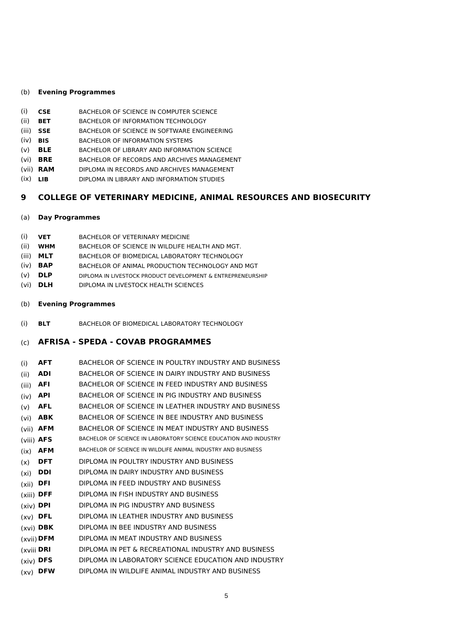#### (b) **Evening Programmes**

- (i) **CSE** BACHELOR OF SCIENCE IN COMPUTER SCIENCE
- (ii) **BET** BACHELOR OF INFORMATION TECHNOLOGY
- (iii) **SSE** BACHELOR OF SCIENCE IN SOFTWARE ENGINEERING
- (iv) **BIS** BACHELOR OF INFORMATION SYSTEMS
- (v) **BLE** BACHELOR OF LIBRARY AND INFORMATION SCIENCE
- (vi) **BRE** BACHELOR OF RECORDS AND ARCHIVES MANAGEMENT
- (vii) **RAM** DIPLOMA IN RECORDS AND ARCHIVES MANAGEMENT
- (ix) **LIB** DIPLOMA IN LIBRARY AND INFORMATION STUDIES

### **9 COLLEGE OF VETERINARY MEDICINE, ANIMAL RESOURCES AND BIOSECURITY**

#### (a) **Day Programmes**

- (i) **VET** BACHELOR OF VETERINARY MEDICINE
- (ii) **WHM** BACHELOR OF SCIENCE IN WILDLIFE HEALTH AND MGT.
- (iii) **MLT** BACHELOR OF BIOMEDICAL LABORATORY TECHNOLOGY
- (iv) **BAP** BACHELOR OF ANIMAL PRODUCTION TECHNOLOGY AND MGT
- (v) **DLP** DIPLOMA IN LIVESTOCK PRODUCT DEVELOPMENT & ENTREPRENEURSHIP
- (vi) **DLH** DIPLOMA IN LIVESTOCK HEALTH SCIENCES
- (b) **Evening Programmes**
- (i) **BLT** BACHELOR OF BIOMEDICAL LABORATORY TECHNOLOGY
- (c) **AFRISA SPEDA COVAB PROGRAMMES**
- (i) **AFT** BACHELOR OF SCIENCE IN POULTRY INDUSTRY AND BUSINESS
- (ii) **ADI** BACHELOR OF SCIENCE IN DAIRY INDUSTRY AND BUSINESS
- (iii) **AFI** BACHELOR OF SCIENCE IN FEED INDUSTRY AND BUSINESS
- (iv) **API** BACHELOR OF SCIENCE IN PIG INDUSTRY AND BUSINESS
- (v) **AFL** BACHELOR OF SCIENCE IN LEATHER INDUSTRY AND BUSINESS
- (vi) **ABK** BACHELOR OF SCIENCE IN BEE INDUSTRY AND BUSINESS
- (vii) **AFM** BACHELOR OF SCIENCE IN MEAT INDUSTRY AND BUSINESS
- (viii) **AFS** BACHELOR OF SCIENCE IN LABORATORY SCIENCE EDUCATION AND INDUSTRY
- (ix) **AFM** BACHELOR OF SCIENCE IN WILDLIFE ANIMAL INDUSTRY AND BUSINESS
- (x) **DFT** DIPLOMA IN POULTRY INDUSTRY AND BUSINESS
- (xi) **DDI** DIPLOMA IN DAIRY INDUSTRY AND BUSINESS
- (xii) **DFI** DIPLOMA IN FEED INDUSTRY AND BUSINESS
- (xiii) **DFF** DIPLOMA IN FISH INDUSTRY AND BUSINESS
- (xiv) **DPI** DIPLOMA IN PIG INDUSTRY AND BUSINESS
- (xv) **DFL** DIPLOMA IN LEATHER INDUSTRY AND BUSINESS
- (xvi) **DBK** DIPLOMA IN BEE INDUSTRY AND BUSINESS
- (xvii) **DFM** DIPLOMA IN MEAT INDUSTRY AND BUSINESS
- (xviii)**DRI** DIPLOMA IN PET & RECREATIONAL INDUSTRY AND BUSINESS
- (xiv) **DFS** DIPLOMA IN LABORATORY SCIENCE EDUCATION AND INDUSTRY
- (xv) **DFW** DIPLOMA IN WILDLIFE ANIMAL INDUSTRY AND BUSINESS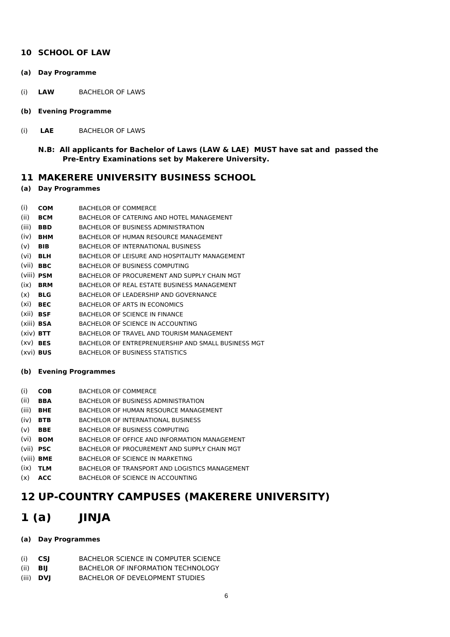### **10 SCHOOL OF LAW**

- **(a) Day Programme**
- (i) **LAW** BACHELOR OF LAWS
- **(b) Evening Programme**
- (i) **LAE** BACHELOR OF LAWS
	- **N.B: All applicants for Bachelor of Laws (LAW & LAE) MUST have sat and passed the Pre-Entry Examinations set by Makerere University.**

### **11 MAKERERE UNIVERSITY BUSINESS SCHOOL**

### **(a) Day Programmes**

- (i) **COM** BACHELOR OF COMMERCE
- (ii) **BCM** BACHELOR OF CATERING AND HOTEL MANAGEMENT
- (iii) **BBD** BACHELOR OF BUSINESS ADMINISTRATION
- (iv) **BHM** BACHELOR OF HUMAN RESOURCE MANAGEMENT
- (v) **BIB** BACHELOR OF INTERNATIONAL BUSINESS
- (vi) **BLH** BACHELOR OF LEISURE AND HOSPITALITY MANAGEMENT
- (vii) **BBC** BACHELOR OF BUSINESS COMPUTING
- (viii) **PSM** BACHELOR OF PROCUREMENT AND SUPPLY CHAIN MGT
- (ix) **BRM** BACHELOR OF REAL ESTATE BUSINESS MANAGEMENT
- (x) **BLG** BACHELOR OF LEADERSHIP AND GOVERNANCE
- (xi) **BEC** BACHELOR OF ARTS IN ECONOMICS
- (xii) **BSF** BACHELOR OF SCIENCE IN FINANCE
- (xiii) **BSA** BACHELOR OF SCIENCE IN ACCOUNTING
- (xiv) **BTT** BACHELOR OF TRAVEL AND TOURISM MANAGEMENT
- (xv) **BES** BACHELOR OF ENTREPRENUERSHIP AND SMALL BUSINESS MGT
- (xvi) **BUS** BACHELOR OF BUSINESS STATISTICS

### **(b) Evening Programmes**

- (i) **COB** BACHELOR OF COMMERCE
- (ii) **BBA** BACHELOR OF BUSINESS ADMINISTRATION
- (iii) **BHE** BACHELOR OF HUMAN RESOURCE MANAGEMENT
- (iv) **BTB** BACHELOR OF INTERNATIONAL BUSINESS
- (v) **BBE** BACHELOR OF BUSINESS COMPUTING
- (vi) **BOM** BACHELOR OF OFFICE AND INFORMATION MANAGEMENT
- (vii) **PSC** BACHELOR OF PROCUREMENT AND SUPPLY CHAIN MGT
- (viii) **BME** BACHELOR OF SCIENCE IN MARKETING
- (ix) **TLM** BACHELOR OF TRANSPORT AND LOGISTICS MANAGEMENT
- (x) **ACC** BACHELOR OF SCIENCE IN ACCOUNTING

## **12 UP-COUNTRY CAMPUSES (MAKERERE UNIVERSITY)**

## **1 (a) JINJA**

### **(a) Day Programmes**

- (i) **CSJ** BACHELOR SCIENCE IN COMPUTER SCIENCE
- (ii) **BIJ** BACHELOR OF INFORMATION TECHNOLOGY
- (iii) **DVJ** BACHELOR OF DEVELOPMENT STUDIES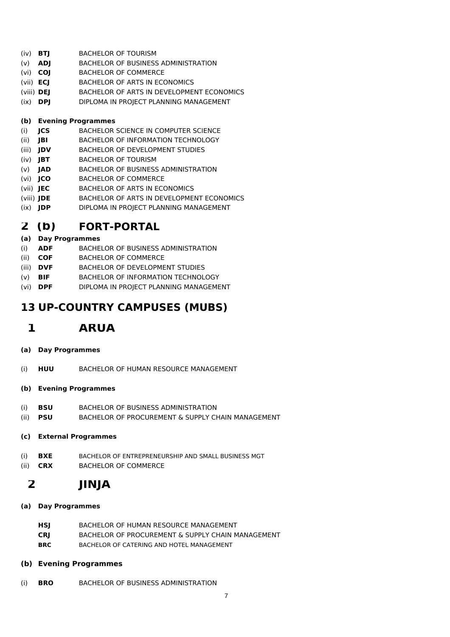- (iv) **BTJ** BACHELOR OF TOURISM
- (v) **ADJ** BACHELOR OF BUSINESS ADMINISTRATION
- (vi) **COJ** BACHELOR OF COMMERCE
- (vii) **ECJ** BACHELOR OF ARTS IN ECONOMICS
- (viii) **DEJ** BACHELOR OF ARTS IN DEVELOPMENT ECONOMICS
- (ix) **DPJ** DIPLOMA IN PROJECT PLANNING MANAGEMENT

## **(b) Evening Programmes**

- (i) **JCS** BACHELOR SCIENCE IN COMPUTER SCIENCE
- (ii) **JBI** BACHELOR OF INFORMATION TECHNOLOGY
- (iii) **JDV** BACHELOR OF DEVELOPMENT STUDIES
- (iv) **JBT** BACHELOR OF TOURISM
- (v) **JAD** BACHELOR OF BUSINESS ADMINISTRATION
- (vi) **JCO** BACHELOR OF COMMERCE
- (vii) **JEC** BACHELOR OF ARTS IN ECONOMICS
- (viii) **JDE** BACHELOR OF ARTS IN DEVELOPMENT ECONOMICS
- (ix) **JDP** DIPLOMA IN PROJECT PLANNING MANAGEMENT

# **2 (b) FORT-PORTAL**

## **(a) Day Programmes**

- (i) **ADF** BACHELOR OF BUSINESS ADMINISTRATION
- (ii) **COF** BACHELOR OF COMMERCE
- (iii) **DVF** BACHELOR OF DEVELOPMENT STUDIES
- (v) **BIF** BACHELOR OF INFORMATION TECHNOLOGY
- (vi) **DPF** DIPLOMA IN PROJECT PLANNING MANAGEMENT

# **13 UP-COUNTRY CAMPUSES (MUBS)**

# **1 ARUA**

- **(a) Day Programmes**
- (i) **HUU** BACHELOR OF HUMAN RESOURCE MANAGEMENT

## **(b) Evening Programmes**

- (i) **BSU** BACHELOR OF BUSINESS ADMINISTRATION
- (ii) **PSU** BACHELOR OF PROCUREMENT & SUPPLY CHAIN MANAGEMENT

## **(c) External Programmes**

- (i) **BXE** BACHELOR OF ENTREPRENEURSHIP AND SMALL BUSINESS MGT
- (ii) **CRX** BACHELOR OF COMMERCE

# **2 JINJA**

## **(a) Day Programmes**

- **HSJ** BACHELOR OF HUMAN RESOURCE MANAGEMENT **CRJ** BACHELOR OF PROCUREMENT & SUPPLY CHAIN MANAGEMENT
- **BRC** BACHELOR OF CATERING AND HOTEL MANAGEMENT

## **(b) Evening Programmes**

(i) **BRO** BACHELOR OF BUSINESS ADMINISTRATION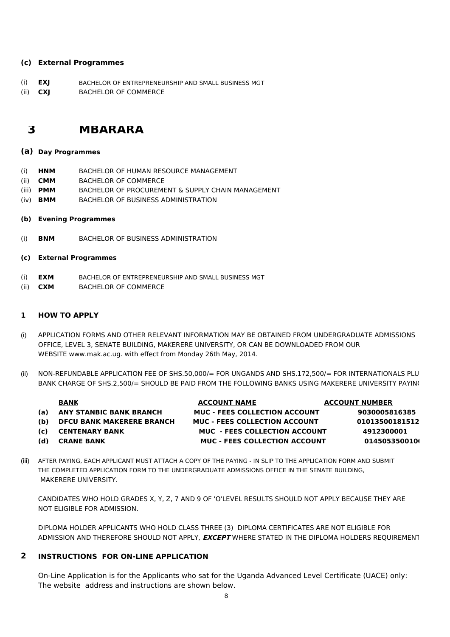### **(c) External Programmes**

(i) **EXJ** BACHELOR OF ENTREPRENEURSHIP AND SMALL BUSINESS MGT (ii) **CXJ** BACHELOR OF COMMERCE

## **3 MBARARA**

### **(a) Day Programmes**

- (i) **HNM** BACHELOR OF HUMAN RESOURCE MANAGEMENT
- (ii) **CMM** BACHELOR OF COMMERCE
- (iii) **PMM** BACHELOR OF PROCUREMENT & SUPPLY CHAIN MANAGEMENT
- (iv) **BMM** BACHELOR OF BUSINESS ADMINISTRATION
- **(b) Evening Programmes**
- (i) **BNM** BACHELOR OF BUSINESS ADMINISTRATION
- **(c) External Programmes**
- (i) **EXM** BACHELOR OF ENTREPRENEURSHIP AND SMALL BUSINESS MGT
- (ii) **CXM** BACHELOR OF COMMERCE

### **1 HOW TO APPLY**

- (i) APPLICATION FORMS AND OTHER RELEVANT INFORMATION MAY BE OBTAINED FROM UNDERGRADUATE ADMISSIONS OFFICE, LEVEL 3, SENATE BUILDING, MAKERERE UNIVERSITY, OR CAN BE DOWNLOADED FROM OUR WEBSITE www.mak.ac.ug. with effect from Monday 26th May, 2014.
- (ii) NON-REFUNDABLE APPLICATION FEE OF SHS.50,000/= FOR UNGANDS AND SHS.172,500/= FOR INTERNATIONALS PLU BANK CHARGE OF SHS.2,500/= SHOULD BE PAID FROM THE FOLLOWING BANKS USING MAKERERE UNIVERSITY PAYIN(

|     | <b>BANK</b>                      | <b>ACCOUNT NAME</b>                  | <b>ACCOUNT NUMBER</b> |
|-----|----------------------------------|--------------------------------------|-----------------------|
| (a) | <b>ANY STANBIC BANK BRANCH</b>   | <b>MUC - FEES COLLECTION ACCOUNT</b> | 9030005816385         |
| (b) | <b>DFCU BANK MAKERERE BRANCH</b> | MUC - FEES COLLECTION ACCOUNT        | 01013500181512        |
| (c) | <b>CENTENARY BANK</b>            | MUC - FEES COLLECTION ACCOUNT        | 4912300001            |

- 
- **(d) CRANE BANK MUC FEES COLLECTION ACCOUNT 0145053500100**
- 
- (iii) AFTER PAYING, EACH APPLICANT MUST ATTACH A COPY OF THE PAYING IN SLIP TO THE APPLICATION FORM AND SUBMIT THE COMPLETED APPLICATION FORM TO THE UNDERGRADUATE ADMISSIONS OFFICE IN THE SENATE BUILDING, MAKERERE UNIVERSITY.

CANDIDATES WHO HOLD GRADES X, Y, Z, 7 AND 9 OF 'O'LEVEL RESULTS SHOULD NOT APPLY BECAUSE THEY ARE NOT ELIGIBLE FOR ADMISSION.

DIPLOMA HOLDER APPLICANTS WHO HOLD CLASS THREE (3) DIPLOMA CERTIFICATES ARE NOT ELIGIBLE FOR ADMISSION AND THEREFORE SHOULD NOT APPLY, **EXCEPT** WHERE STATED IN THE DIPLOMA HOLDERS REQUIREMENT

## **2 INSTRUCTIONS FOR ON-LINE APPLICATION**

On-Line Application is for the Applicants who sat for the Uganda Advanced Level Certificate (UACE) only: The website address and instructions are shown below.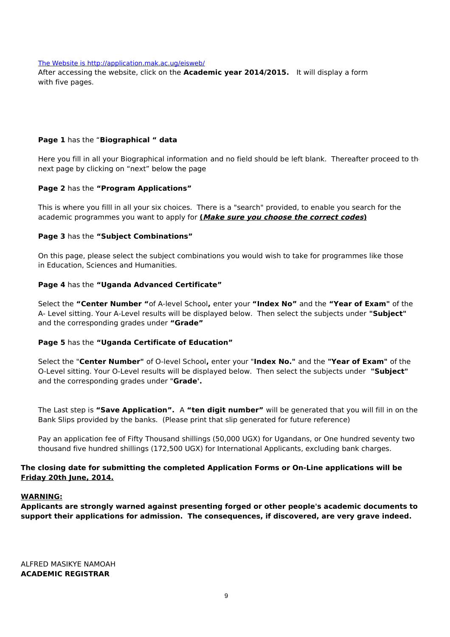#### [The Website is http://application.mak.ac.ug/eisweb/](http://application.mak.ac.ug/eisweb/)

with five pages. After accessing the website, click on the **Academic year 2014/2015.** It will display a form

### **Page 1** has the "**Biographical " data**

next page by clicking on "next" below the page Here you fill in all your Biographical information and no field should be left blank. Thereafter proceed to the

### **Page 2** has the **"Program Applications"**

This is where you filll in all your six choices. There is a "search" provided, to enable you search for the academic programmes you want to apply for **(Make sure you choose the correct codes)**

### **Page 3** has the **"Subject Combinations"**

On this page, please select the subject combinations you would wish to take for programmes like those in Education, Sciences and Humanities.

### **Page 4** has the **"Uganda Advanced Certificate"**

Select the **"Center Number "**of A-level School**,** enter your **"Index No"** and the **"Year of Exam"** of the A- Level sitting. Your A-Level results will be displayed below. Then select the subjects under **"Subject"** and the corresponding grades under **"Grade"**

### **Page 5** has the **"Uganda Certificate of Education"**

Select the "**Center Number"** of O-level School**,** enter your "**Index No."** and the **"Year of Exam"** of the O-Level sitting. Your O-Level results will be displayed below. Then select the subjects under **"Subject"** and the corresponding grades under "**Grade'.**

Bank Slips provided by the banks. (Please print that slip generated for future reference) The Last step is **"Save Application".** A **"ten digit number"** will be generated that you will fill in on the

Pay an application fee of Fifty Thousand shillings (50,000 UGX) for Ugandans, or One hundred seventy two thousand five hundred shillings (172,500 UGX) for International Applicants, excluding bank charges.

### **The closing date for submitting the completed Application Forms or On-Line applications will be Friday 20th June, 2014.**

### **WARNING:**

**Applicants are strongly warned against presenting forged or other people's academic documents to support their applications for admission. The consequences, if discovered, are very grave indeed.**

ALFRED MASIKYE NAMOAH **ACADEMIC REGISTRAR**